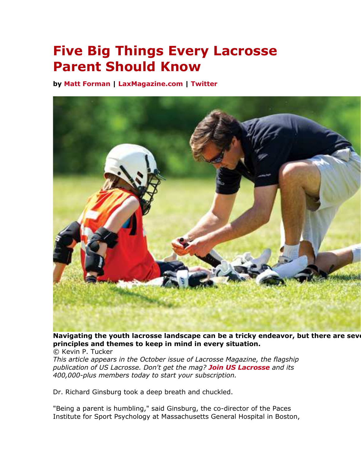# **Five Big Things Every Lacrosse Parent Should Know**

**by Matt Forman | LaxMagazine.com | Twitter**



Navigating the youth lacrosse landscape can be a tricky endeavor, but there are seve **principles and themes to keep in mind in every situation.** 

© Kevin P. Tucker

*This article appears in the October issue of Lacrosse Magazine, the flagship publication of US Lacrosse. Don't get the mag? Join US Lacrosse and its 400,000-plus members today to start your subscription.*

Dr. Richard Ginsburg took a deep breath and chuckled.

"Being a parent is humbling," said Ginsburg, the co-director of the Paces Institute for Sport Psychology at Massachusetts General Hospital in Boston,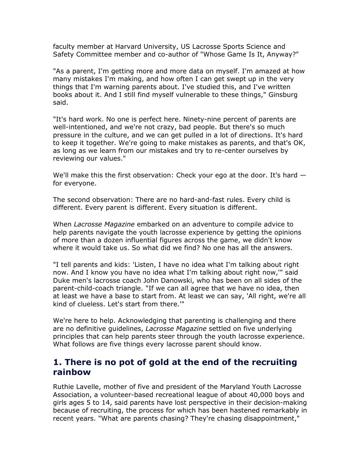faculty member at Harvard University, US Lacrosse Sports Science and Safety Committee member and co-author of "Whose Game Is It, Anyway?"

"As a parent, I'm getting more and more data on myself. I'm amazed at how many mistakes I'm making, and how often I can get swept up in the very things that I'm warning parents about. I've studied this, and I've written books about it. And I still find myself vulnerable to these things," Ginsburg said.

"It's hard work. No one is perfect here. Ninety-nine percent of parents are well-intentioned, and we're not crazy, bad people. But there's so much pressure in the culture, and we can get pulled in a lot of directions. It's hard to keep it together. We're going to make mistakes as parents, and that's OK, as long as we learn from our mistakes and try to re-center ourselves by reviewing our values."

We'll make this the first observation: Check your ego at the door. It's hard  $$ for everyone.

The second observation: There are no hard-and-fast rules. Every child is different. Every parent is different. Every situation is different.

When *Lacrosse Magazine* embarked on an adventure to compile advice to help parents navigate the youth lacrosse experience by getting the opinions of more than a dozen influential figures across the game, we didn't know where it would take us. So what did we find? No one has all the answers.

"I tell parents and kids: 'Listen, I have no idea what I'm talking about right now. And I know you have no idea what I'm talking about right now,'" said Duke men's lacrosse coach John Danowski, who has been on all sides of the parent-child-coach triangle. "If we can all agree that we have no idea, then at least we have a base to start from. At least we can say, 'All right, we're all kind of clueless. Let's start from there.'"

We're here to help. Acknowledging that parenting is challenging and there are no definitive guidelines, *Lacrosse Magazine* settled on five underlying principles that can help parents steer through the youth lacrosse experience. What follows are five things every lacrosse parent should know.

## **1. There is no pot of gold at the end of the recruiting rainbow**

Ruthie Lavelle, mother of five and president of the Maryland Youth Lacrosse Association, a volunteer-based recreational league of about 40,000 boys and girls ages 5 to 14, said parents have lost perspective in their decision-making because of recruiting, the process for which has been hastened remarkably in recent years. "What are parents chasing? They're chasing disappointment,"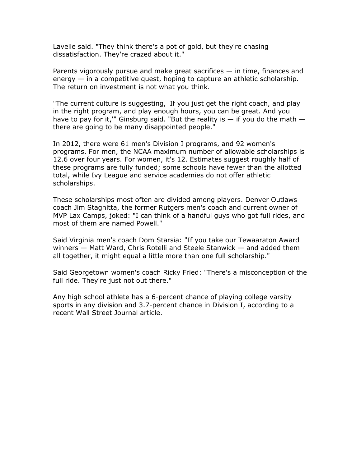Lavelle said. "They think there's a pot of gold, but they're chasing dissatisfaction. They're crazed about it."

Parents vigorously pursue and make great sacrifices — in time, finances and energy — in a competitive quest, hoping to capture an athletic scholarship. The return on investment is not what you think.

"The current culture is suggesting, 'If you just get the right coach, and play in the right program, and play enough hours, you can be great. And you have to pay for it," Ginsburg said. "But the reality is  $-$  if you do the math  $$ there are going to be many disappointed people."

In 2012, there were 61 men's Division I programs, and 92 women's programs. For men, the NCAA maximum number of allowable scholarships is 12.6 over four years. For women, it's 12. Estimates suggest roughly half of these programs are fully funded; some schools have fewer than the allotted total, while Ivy League and service academies do not offer athletic scholarships.

These scholarships most often are divided among players. Denver Outlaws coach Jim Stagnitta, the former Rutgers men's coach and current owner of MVP Lax Camps, joked: "I can think of a handful guys who got full rides, and most of them are named Powell."

Said Virginia men's coach Dom Starsia: "If you take our Tewaaraton Award winners — Matt Ward, Chris Rotelli and Steele Stanwick — and added them all together, it might equal a little more than one full scholarship."

Said Georgetown women's coach Ricky Fried: "There's a misconception of the full ride. They're just not out there."

Any high school athlete has a 6-percent chance of playing college varsity sports in any division and 3.7-percent chance in Division I, according to a recent Wall Street Journal article.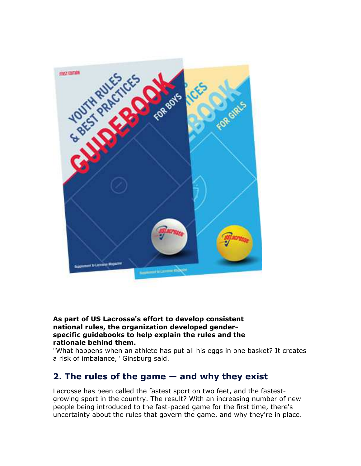

#### **As part of US Lacrosse's effort to develop consistent national rules, the organization developed genderspecific guidebooks to help explain the rules and the rationale behind them.**

"What happens when an athlete has put all his eggs in one basket? It creates a risk of imbalance," Ginsburg said.

## **2. The rules of the game — and why they exist**

Lacrosse has been called the fastest sport on two feet, and the fastestgrowing sport in the country. The result? With an increasing number of new people being introduced to the fast-paced game for the first time, there's uncertainty about the rules that govern the game, and why they're in place.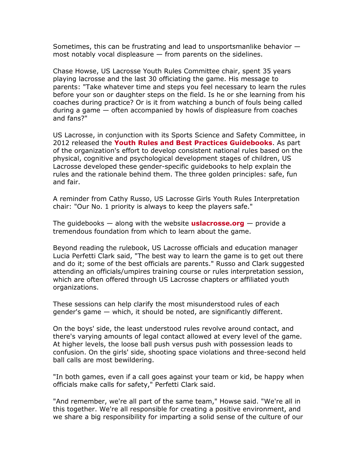Sometimes, this can be frustrating and lead to unsportsmanlike behavior most notably vocal displeasure  $-$  from parents on the sidelines.

Chase Howse, US Lacrosse Youth Rules Committee chair, spent 35 years playing lacrosse and the last 30 officiating the game. His message to parents: "Take whatever time and steps you feel necessary to learn the rules before your son or daughter steps on the field. Is he or she learning from his coaches during practice? Or is it from watching a bunch of fouls being called during a game — often accompanied by howls of displeasure from coaches and fans?"

US Lacrosse, in conjunction with its Sports Science and Safety Committee, in 2012 released the **Youth Rules and Best Practices Guidebooks**. As part of the organization's effort to develop consistent national rules based on the physical, cognitive and psychological development stages of children, US Lacrosse developed these gender-specific guidebooks to help explain the rules and the rationale behind them. The three golden principles: safe, fun and fair.

A reminder from Cathy Russo, US Lacrosse Girls Youth Rules Interpretation chair: "Our No. 1 priority is always to keep the players safe."

The guidebooks — along with the website **uslacrosse.org** — provide a tremendous foundation from which to learn about the game.

Beyond reading the rulebook, US Lacrosse officials and education manager Lucia Perfetti Clark said, "The best way to learn the game is to get out there and do it; some of the best officials are parents." Russo and Clark suggested attending an officials/umpires training course or rules interpretation session, which are often offered through US Lacrosse chapters or affiliated youth organizations.

These sessions can help clarify the most misunderstood rules of each gender's game — which, it should be noted, are significantly different.

On the boys' side, the least understood rules revolve around contact, and there's varying amounts of legal contact allowed at every level of the game. At higher levels, the loose ball push versus push with possession leads to confusion. On the girls' side, shooting space violations and three-second held ball calls are most bewildering.

"In both games, even if a call goes against your team or kid, be happy when officials make calls for safety," Perfetti Clark said.

"And remember, we're all part of the same team," Howse said. "We're all in this together. We're all responsible for creating a positive environment, and we share a big responsibility for imparting a solid sense of the culture of our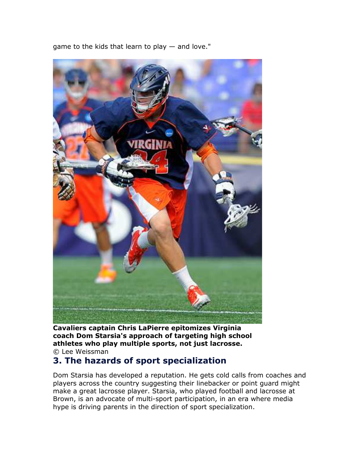

game to the kids that learn to play — and love."

**Cavaliers captain Chris LaPierre epitomizes Virginia coach Dom Starsia's approach of targeting high school athletes who play multiple sports, not just lacrosse.**

© Lee Weissman

### **3. The hazards of sport specialization**

Dom Starsia has developed a reputation. He gets cold calls from coaches and players across the country suggesting their linebacker or point guard might make a great lacrosse player. Starsia, who played football and lacrosse at Brown, is an advocate of multi-sport participation, in an era where media hype is driving parents in the direction of sport specialization.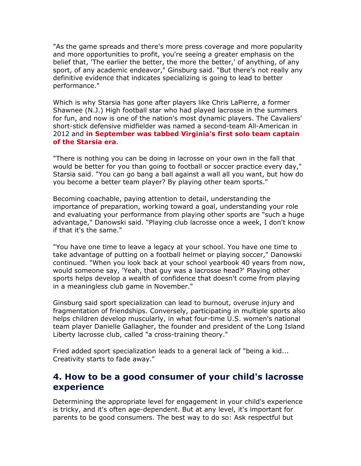"As the game spreads and there's more press coverage and more popularity and more opportunities to profit, you're seeing a greater emphasis on the belief that, 'The earlier the better, the more the better,' of anything, of any sport, of any academic endeavor," Ginsburg said. "But there's not really any definitive evidence that indicates specializing is going to lead to better performance."

Which is why Starsia has gone after players like Chris LaPierre, a former Shawnee (N.J.) High football star who had played lacrosse in the summers for fun, and now is one of the nation's most dynamic players. The Cavaliers' short-stick defensive midfielder was named a second-team All-American in 2012 and **in September was tabbed Virginia's first solo team captain of the Starsia era**.

"There is nothing you can be doing in lacrosse on your own in the fall that would be better for you than going to football or soccer practice every day," Starsia said. "You can go bang a ball against a wall all you want, but how do you become a better team player? By playing other team sports."

Becoming coachable, paying attention to detail, understanding the importance of preparation, working toward a goal, understanding your role and evaluating your performance from playing other sports are "such a huge advantage," Danowski said. "Playing club lacrosse once a week, I don't know if that it's the same."

"You have one time to leave a legacy at your school. You have one time to take advantage of putting on a football helmet or playing soccer," Danowski continued. "When you look back at your school yearbook 40 years from now, would someone say, 'Yeah, that guy was a lacrosse head?' Playing other sports helps develop a wealth of confidence that doesn't come from playing in a meaningless club game in November."

Ginsburg said sport specialization can lead to burnout, overuse injury and fragmentation of friendships. Conversely, participating in multiple sports also helps children develop muscularly, in what four-time U.S. women's national team player Danielle Gallagher, the founder and president of the Long Island Liberty lacrosse club, called "a cross-training theory."

Fried added sport specialization leads to a general lack of "being a kid... Creativity starts to fade away."

## **4. How to be a good consumer of your child's lacrosse experience**

Determining the appropriate level for engagement in your child's experience is tricky, and it's often age-dependent. But at any level, it's important for parents to be good consumers. The best way to do so: Ask respectful but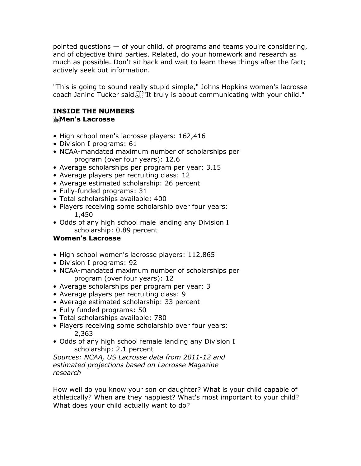pointed questions — of your child, of programs and teams you're considering, and of objective third parties. Related, do your homework and research as much as possible. Don't sit back and wait to learn these things after the fact; actively seek out information.

"This is going to sound really stupid simple," Johns Hopkins women's lacrosse coach Janine Tucker said. First It truly is about communicating with your child."

#### **INSIDE THE NUMBERS Men's Lacrosse**

- High school men's lacrosse players: 162,416
- Division I programs: 61
- NCAA-mandated maximum number of scholarships per program (over four years): 12.6
- Average scholarships per program per year: 3.15
- Average players per recruiting class: 12
- Average estimated scholarship: 26 percent
- Fully-funded programs: 31
- Total scholarships available: 400
- Players receiving some scholarship over four years: 1,450
- Odds of any high school male landing any Division I scholarship: 0.89 percent

#### **Women's Lacrosse**

- High school women's lacrosse players: 112,865
- Division I programs: 92
- NCAA-mandated maximum number of scholarships per program (over four years): 12
- Average scholarships per program per year: 3
- Average players per recruiting class: 9
- Average estimated scholarship: 33 percent
- Fully funded programs: 50
- Total scholarships available: 780
- Players receiving some scholarship over four years: 2,363
- Odds of any high school female landing any Division I scholarship: 2.1 percent

*Sources: NCAA, US Lacrosse data from 2011-12 and estimated projections based on Lacrosse Magazine research*

How well do you know your son or daughter? What is your child capable of athletically? When are they happiest? What's most important to your child? What does your child actually want to do?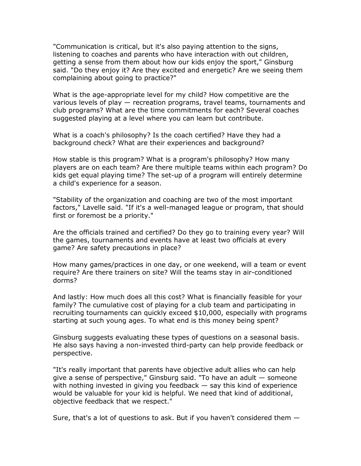"Communication is critical, but it's also paying attention to the signs, listening to coaches and parents who have interaction with out children, getting a sense from them about how our kids enjoy the sport," Ginsburg said. "Do they enjoy it? Are they excited and energetic? Are we seeing them complaining about going to practice?"

What is the age-appropriate level for my child? How competitive are the various levels of play — recreation programs, travel teams, tournaments and club programs? What are the time commitments for each? Several coaches suggested playing at a level where you can learn but contribute.

What is a coach's philosophy? Is the coach certified? Have they had a background check? What are their experiences and background?

How stable is this program? What is a program's philosophy? How many players are on each team? Are there multiple teams within each program? Do kids get equal playing time? The set-up of a program will entirely determine a child's experience for a season.

"Stability of the organization and coaching are two of the most important factors," Lavelle said. "If it's a well-managed league or program, that should first or foremost be a priority."

Are the officials trained and certified? Do they go to training every year? Will the games, tournaments and events have at least two officials at every game? Are safety precautions in place?

How many games/practices in one day, or one weekend, will a team or event require? Are there trainers on site? Will the teams stay in air-conditioned dorms?

And lastly: How much does all this cost? What is financially feasible for your family? The cumulative cost of playing for a club team and participating in recruiting tournaments can quickly exceed \$10,000, especially with programs starting at such young ages. To what end is this money being spent?

Ginsburg suggests evaluating these types of questions on a seasonal basis. He also says having a non-invested third-party can help provide feedback or perspective.

"It's really important that parents have objective adult allies who can help give a sense of perspective," Ginsburg said. "To have an adult — someone with nothing invested in giving you feedback  $-$  say this kind of experience would be valuable for your kid is helpful. We need that kind of additional, objective feedback that we respect."

Sure, that's a lot of questions to ask. But if you haven't considered them  $-$